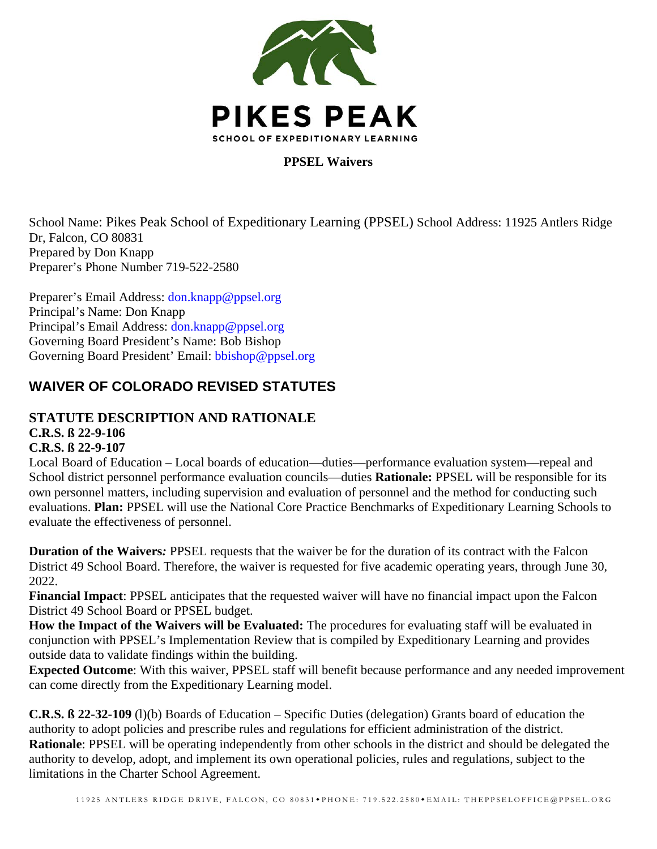

**PPSEL Waivers** 

School Name: Pikes Peak School of Expeditionary Learning (PPSEL) School Address: 11925 Antlers Ridge Dr, Falcon, CO 80831 Prepared by Don Knapp Preparer's Phone Number 719-522-2580

Preparer's Email Address: don.knapp@ppsel.org Principal's Name: Don Knapp Principal's Email Address: don.knapp@ppsel.org Governing Board President's Name: Bob Bishop Governing Board President' Email: bbishop@ppsel.org

# **WAIVER OF COLORADO REVISED STATUTES**

# **STATUTE DESCRIPTION AND RATIONALE**

**C.R.S. ß 22-9-106**

# **C.R.S. ß 22-9-107**

Local Board of Education – Local boards of education—duties—performance evaluation system—repeal and School district personnel performance evaluation councils—duties **Rationale:** PPSEL will be responsible for its own personnel matters, including supervision and evaluation of personnel and the method for conducting such evaluations. **Plan:** PPSEL will use the National Core Practice Benchmarks of Expeditionary Learning Schools to evaluate the effectiveness of personnel.

**Duration of the Waivers***:* PPSEL requests that the waiver be for the duration of its contract with the Falcon District 49 School Board. Therefore, the waiver is requested for five academic operating years, through June 30, 2022.

**Financial Impact**: PPSEL anticipates that the requested waiver will have no financial impact upon the Falcon District 49 School Board or PPSEL budget.

How the Impact of the Waivers will be Evaluated: The procedures for evaluating staff will be evaluated in conjunction with PPSEL's Implementation Review that is compiled by Expeditionary Learning and provides outside data to validate findings within the building.

**Expected Outcome**: With this waiver, PPSEL staff will benefit because performance and any needed improvement can come directly from the Expeditionary Learning model.

**C.R.S. ß 22-32-109** (l)(b) Boards of Education – Specific Duties (delegation) Grants board of education the authority to adopt policies and prescribe rules and regulations for efficient administration of the district. **Rationale:** PPSEL will be operating independently from other schools in the district and should be delegated the authority to develop, adopt, and implement its own operational policies, rules and regulations, subject to the limitations in the Charter School Agreement.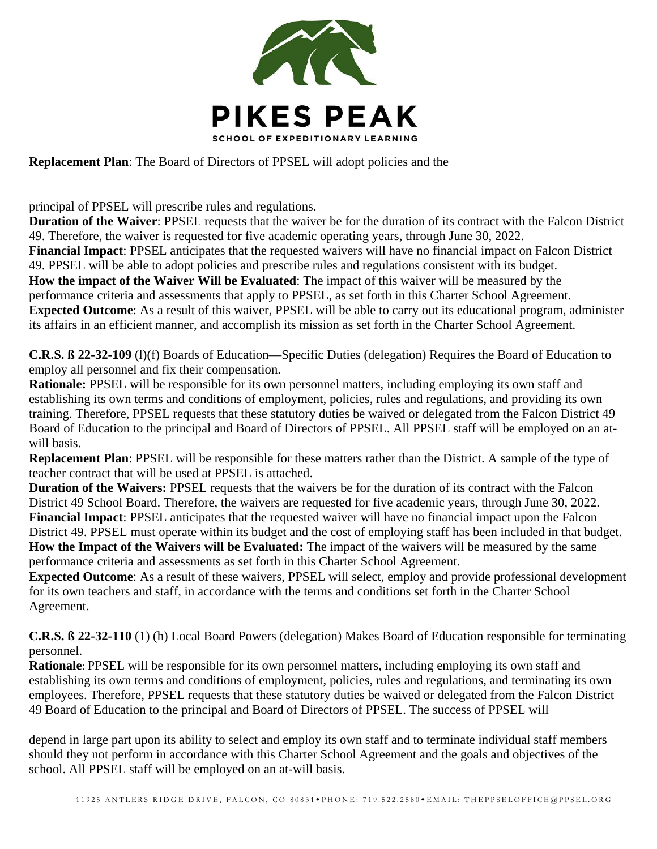

**Replacement Plan**: The Board of Directors of PPSEL will adopt policies and the

principal of PPSEL will prescribe rules and regulations.

**Duration of the Waiver**: PPSEL requests that the waiver be for the duration of its contract with the Falcon District 49. Therefore, the waiver is requested for five academic operating years, through June 30, 2022. **Financial Impact**: PPSEL anticipates that the requested waivers will have no financial impact on Falcon District 49. PPSEL will be able to adopt policies and prescribe rules and regulations consistent with its budget. **How the impact of the Waiver Will be Evaluated**: The impact of this waiver will be measured by the performance criteria and assessments that apply to PPSEL, as set forth in this Charter School Agreement. **Expected Outcome**: As a result of this waiver, PPSEL will be able to carry out its educational program, administer its affairs in an efficient manner, and accomplish its mission as set forth in the Charter School Agreement.

**C.R.S. ß 22-32-109** (l)(f) Boards of Education—Specific Duties (delegation) Requires the Board of Education to employ all personnel and fix their compensation.

**Rationale:** PPSEL will be responsible for its own personnel matters, including employing its own staff and establishing its own terms and conditions of employment, policies, rules and regulations, and providing its own training. Therefore, PPSEL requests that these statutory duties be waived or delegated from the Falcon District 49 Board of Education to the principal and Board of Directors of PPSEL. All PPSEL staff will be employed on an atwill basis.

**Replacement Plan**: PPSEL will be responsible for these matters rather than the District. A sample of the type of teacher contract that will be used at PPSEL is attached.

**Duration of the Waivers:** PPSEL requests that the waivers be for the duration of its contract with the Falcon District 49 School Board. Therefore, the waivers are requested for five academic years, through June 30, 2022. **Financial Impact**: PPSEL anticipates that the requested waiver will have no financial impact upon the Falcon District 49. PPSEL must operate within its budget and the cost of employing staff has been included in that budget. **How the Impact of the Waivers will be Evaluated:** The impact of the waivers will be measured by the same performance criteria and assessments as set forth in this Charter School Agreement.

**Expected Outcome**: As a result of these waivers, PPSEL will select, employ and provide professional development for its own teachers and staff, in accordance with the terms and conditions set forth in the Charter School Agreement.

**C.R.S. ß 22-32-110** (1) (h) Local Board Powers (delegation) Makes Board of Education responsible for terminating personnel.

**Rationale**: PPSEL will be responsible for its own personnel matters, including employing its own staff and establishing its own terms and conditions of employment, policies, rules and regulations, and terminating its own employees. Therefore, PPSEL requests that these statutory duties be waived or delegated from the Falcon District 49 Board of Education to the principal and Board of Directors of PPSEL. The success of PPSEL will

depend in large part upon its ability to select and employ its own staff and to terminate individual staff members should they not perform in accordance with this Charter School Agreement and the goals and objectives of the school. All PPSEL staff will be employed on an at-will basis.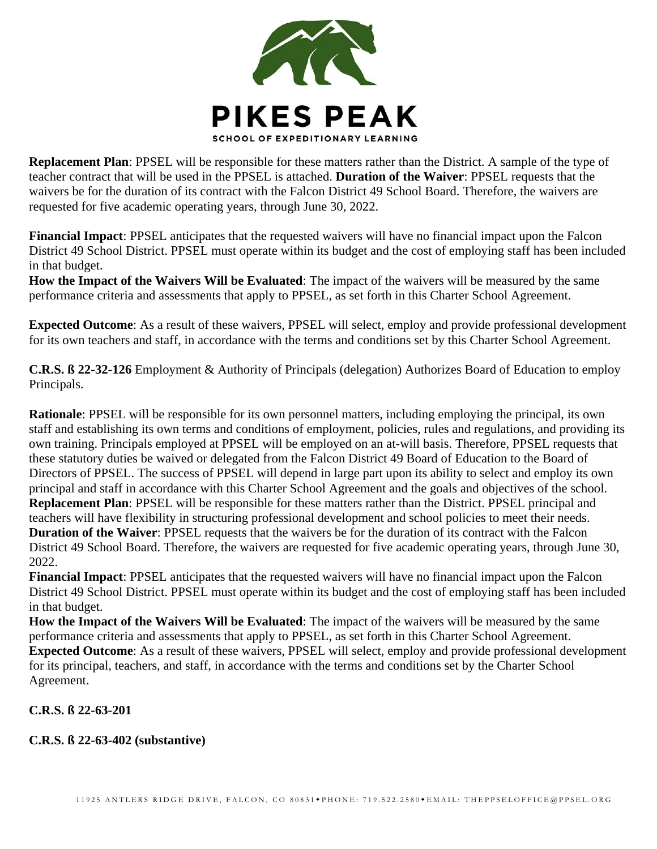

**Replacement Plan**: PPSEL will be responsible for these matters rather than the District. A sample of the type of teacher contract that will be used in the PPSEL is attached. **Duration of the Waiver**: PPSEL requests that the waivers be for the duration of its contract with the Falcon District 49 School Board. Therefore, the waivers are requested for five academic operating years, through June 30, 2022.

**Financial Impact**: PPSEL anticipates that the requested waivers will have no financial impact upon the Falcon District 49 School District. PPSEL must operate within its budget and the cost of employing staff has been included in that budget.

**How the Impact of the Waivers Will be Evaluated**: The impact of the waivers will be measured by the same performance criteria and assessments that apply to PPSEL, as set forth in this Charter School Agreement.

**Expected Outcome**: As a result of these waivers, PPSEL will select, employ and provide professional development for its own teachers and staff, in accordance with the terms and conditions set by this Charter School Agreement.

**C.R.S. ß 22-32-126** Employment & Authority of Principals (delegation) Authorizes Board of Education to employ Principals.

**Rationale**: PPSEL will be responsible for its own personnel matters, including employing the principal, its own staff and establishing its own terms and conditions of employment, policies, rules and regulations, and providing its own training. Principals employed at PPSEL will be employed on an at-will basis. Therefore, PPSEL requests that these statutory duties be waived or delegated from the Falcon District 49 Board of Education to the Board of Directors of PPSEL. The success of PPSEL will depend in large part upon its ability to select and employ its own principal and staff in accordance with this Charter School Agreement and the goals and objectives of the school. **Replacement Plan**: PPSEL will be responsible for these matters rather than the District. PPSEL principal and teachers will have flexibility in structuring professional development and school policies to meet their needs. **Duration of the Waiver**: PPSEL requests that the waivers be for the duration of its contract with the Falcon District 49 School Board. Therefore, the waivers are requested for five academic operating years, through June 30, 2022.

**Financial Impact**: PPSEL anticipates that the requested waivers will have no financial impact upon the Falcon District 49 School District. PPSEL must operate within its budget and the cost of employing staff has been included in that budget.

**How the Impact of the Waivers Will be Evaluated**: The impact of the waivers will be measured by the same performance criteria and assessments that apply to PPSEL, as set forth in this Charter School Agreement. **Expected Outcome**: As a result of these waivers, PPSEL will select, employ and provide professional development for its principal, teachers, and staff, in accordance with the terms and conditions set by the Charter School Agreement.

**C.R.S. ß 22-63-201** 

### **C.R.S. ß 22-63-402 (substantive)**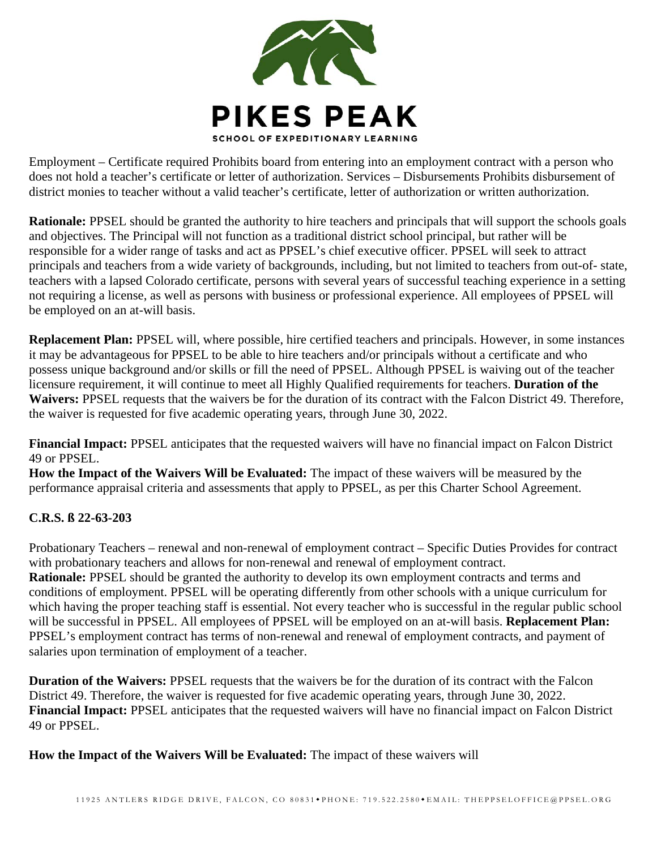

Employment – Certificate required Prohibits board from entering into an employment contract with a person who does not hold a teacher's certificate or letter of authorization. Services – Disbursements Prohibits disbursement of district monies to teacher without a valid teacher's certificate, letter of authorization or written authorization.

**Rationale:** PPSEL should be granted the authority to hire teachers and principals that will support the schools goals and objectives. The Principal will not function as a traditional district school principal, but rather will be responsible for a wider range of tasks and act as PPSEL's chief executive officer. PPSEL will seek to attract principals and teachers from a wide variety of backgrounds, including, but not limited to teachers from out-of- state, teachers with a lapsed Colorado certificate, persons with several years of successful teaching experience in a setting not requiring a license, as well as persons with business or professional experience. All employees of PPSEL will be employed on an at-will basis.

**Replacement Plan:** PPSEL will, where possible, hire certified teachers and principals. However, in some instances it may be advantageous for PPSEL to be able to hire teachers and/or principals without a certificate and who possess unique background and/or skills or fill the need of PPSEL. Although PPSEL is waiving out of the teacher licensure requirement, it will continue to meet all Highly Qualified requirements for teachers. **Duration of the Waivers:** PPSEL requests that the waivers be for the duration of its contract with the Falcon District 49. Therefore, the waiver is requested for five academic operating years, through June 30, 2022.

**Financial Impact:** PPSEL anticipates that the requested waivers will have no financial impact on Falcon District 49 or PPSEL.

**How the Impact of the Waivers Will be Evaluated:** The impact of these waivers will be measured by the performance appraisal criteria and assessments that apply to PPSEL, as per this Charter School Agreement.

### **C.R.S. ß 22-63-203**

Probationary Teachers – renewal and non-renewal of employment contract – Specific Duties Provides for contract with probationary teachers and allows for non-renewal and renewal of employment contract. **Rationale:** PPSEL should be granted the authority to develop its own employment contracts and terms and conditions of employment. PPSEL will be operating differently from other schools with a unique curriculum for which having the proper teaching staff is essential. Not every teacher who is successful in the regular public school will be successful in PPSEL. All employees of PPSEL will be employed on an at-will basis. **Replacement Plan:**  PPSEL's employment contract has terms of non-renewal and renewal of employment contracts, and payment of salaries upon termination of employment of a teacher.

**Duration of the Waivers:** PPSEL requests that the waivers be for the duration of its contract with the Falcon District 49. Therefore, the waiver is requested for five academic operating years, through June 30, 2022. **Financial Impact:** PPSEL anticipates that the requested waivers will have no financial impact on Falcon District 49 or PPSEL.

**How the Impact of the Waivers Will be Evaluated:** The impact of these waivers will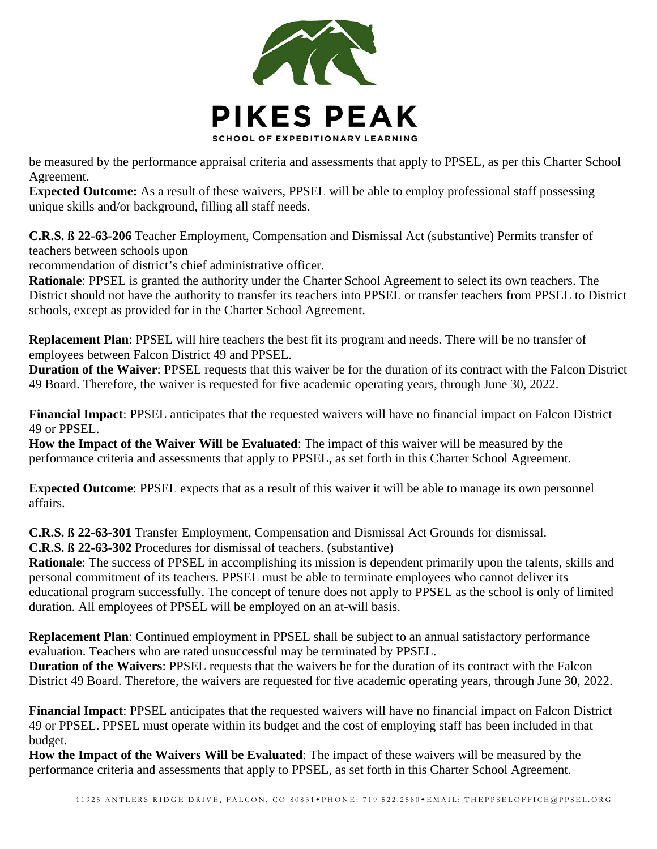

be measured by the performance appraisal criteria and assessments that apply to PPSEL, as per this Charter School Agreement.

**Expected Outcome:** As a result of these waivers, PPSEL will be able to employ professional staff possessing unique skills and/or background, filling all staff needs.

**C.R.S. ß 22-63-206** Teacher Employment, Compensation and Dismissal Act (substantive) Permits transfer of teachers between schools upon

recommendation of district's chief administrative officer.

**Rationale**: PPSEL is granted the authority under the Charter School Agreement to select its own teachers. The District should not have the authority to transfer its teachers into PPSEL or transfer teachers from PPSEL to District schools, except as provided for in the Charter School Agreement.

**Replacement Plan**: PPSEL will hire teachers the best fit its program and needs. There will be no transfer of employees between Falcon District 49 and PPSEL.

**Duration of the Waiver**: PPSEL requests that this waiver be for the duration of its contract with the Falcon District 49 Board. Therefore, the waiver is requested for five academic operating years, through June 30, 2022.

**Financial Impact**: PPSEL anticipates that the requested waivers will have no financial impact on Falcon District 49 or PPSEL.

**How the Impact of the Waiver Will be Evaluated**: The impact of this waiver will be measured by the performance criteria and assessments that apply to PPSEL, as set forth in this Charter School Agreement.

**Expected Outcome**: PPSEL expects that as a result of this waiver it will be able to manage its own personnel affairs.

**C.R.S. ß 22-63-301** Transfer Employment, Compensation and Dismissal Act Grounds for dismissal.

**C.R.S. ß 22-63-302** Procedures for dismissal of teachers. (substantive)

**Rationale**: The success of PPSEL in accomplishing its mission is dependent primarily upon the talents, skills and personal commitment of its teachers. PPSEL must be able to terminate employees who cannot deliver its educational program successfully. The concept of tenure does not apply to PPSEL as the school is only of limited duration. All employees of PPSEL will be employed on an at-will basis.

**Replacement Plan**: Continued employment in PPSEL shall be subject to an annual satisfactory performance evaluation. Teachers who are rated unsuccessful may be terminated by PPSEL.

**Duration of the Waivers**: PPSEL requests that the waivers be for the duration of its contract with the Falcon District 49 Board. Therefore, the waivers are requested for five academic operating years, through June 30, 2022.

**Financial Impact**: PPSEL anticipates that the requested waivers will have no financial impact on Falcon District 49 or PPSEL. PPSEL must operate within its budget and the cost of employing staff has been included in that budget.

**How the Impact of the Waivers Will be Evaluated**: The impact of these waivers will be measured by the performance criteria and assessments that apply to PPSEL, as set forth in this Charter School Agreement.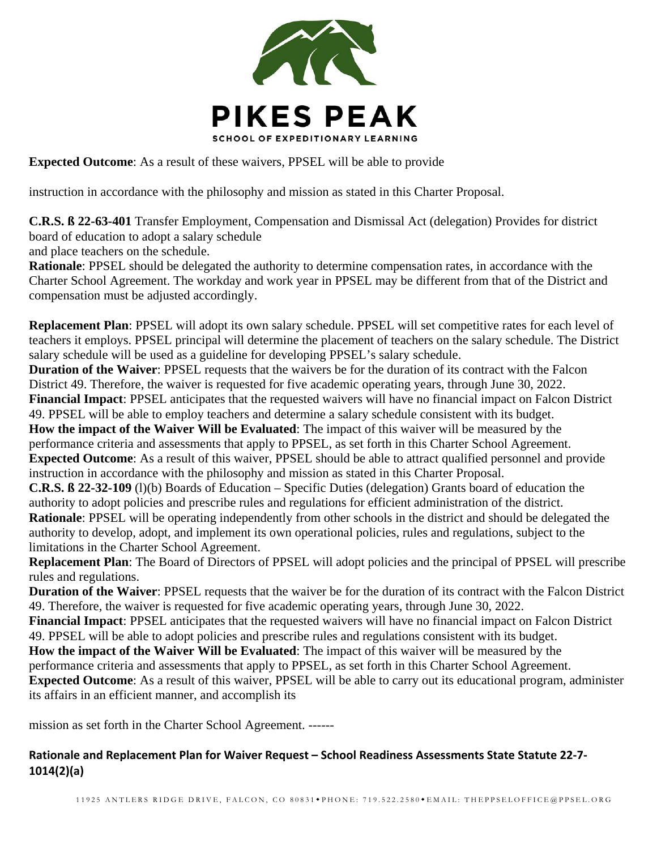

**Expected Outcome**: As a result of these waivers, PPSEL will be able to provide

instruction in accordance with the philosophy and mission as stated in this Charter Proposal.

**C.R.S. ß 22-63-401** Transfer Employment, Compensation and Dismissal Act (delegation) Provides for district board of education to adopt a salary schedule

and place teachers on the schedule.

**Rationale**: PPSEL should be delegated the authority to determine compensation rates, in accordance with the Charter School Agreement. The workday and work year in PPSEL may be different from that of the District and compensation must be adjusted accordingly.

**Replacement Plan**: PPSEL will adopt its own salary schedule. PPSEL will set competitive rates for each level of teachers it employs. PPSEL principal will determine the placement of teachers on the salary schedule. The District salary schedule will be used as a guideline for developing PPSEL's salary schedule.

**Duration of the Waiver**: PPSEL requests that the waivers be for the duration of its contract with the Falcon District 49. Therefore, the waiver is requested for five academic operating years, through June 30, 2022.

**Financial Impact**: PPSEL anticipates that the requested waivers will have no financial impact on Falcon District 49. PPSEL will be able to employ teachers and determine a salary schedule consistent with its budget.

**How the impact of the Waiver Will be Evaluated**: The impact of this waiver will be measured by the performance criteria and assessments that apply to PPSEL, as set forth in this Charter School Agreement. **Expected Outcome**: As a result of this waiver, PPSEL should be able to attract qualified personnel and provide instruction in accordance with the philosophy and mission as stated in this Charter Proposal.

**C.R.S. ß 22-32-109** (l)(b) Boards of Education – Specific Duties (delegation) Grants board of education the authority to adopt policies and prescribe rules and regulations for efficient administration of the district.

**Rationale:** PPSEL will be operating independently from other schools in the district and should be delegated the authority to develop, adopt, and implement its own operational policies, rules and regulations, subject to the limitations in the Charter School Agreement.

**Replacement Plan**: The Board of Directors of PPSEL will adopt policies and the principal of PPSEL will prescribe rules and regulations.

**Duration of the Waiver**: PPSEL requests that the waiver be for the duration of its contract with the Falcon District 49. Therefore, the waiver is requested for five academic operating years, through June 30, 2022.

**Financial Impact**: PPSEL anticipates that the requested waivers will have no financial impact on Falcon District 49. PPSEL will be able to adopt policies and prescribe rules and regulations consistent with its budget.

**How the impact of the Waiver Will be Evaluated**: The impact of this waiver will be measured by the

performance criteria and assessments that apply to PPSEL, as set forth in this Charter School Agreement.

**Expected Outcome**: As a result of this waiver, PPSEL will be able to carry out its educational program, administer its affairs in an efficient manner, and accomplish its

mission as set forth in the Charter School Agreement. ------

### **Rationale and Replacement Plan for Waiver Request – School Readiness Assessments State Statute 22‐7‐ 1014(2)(a)**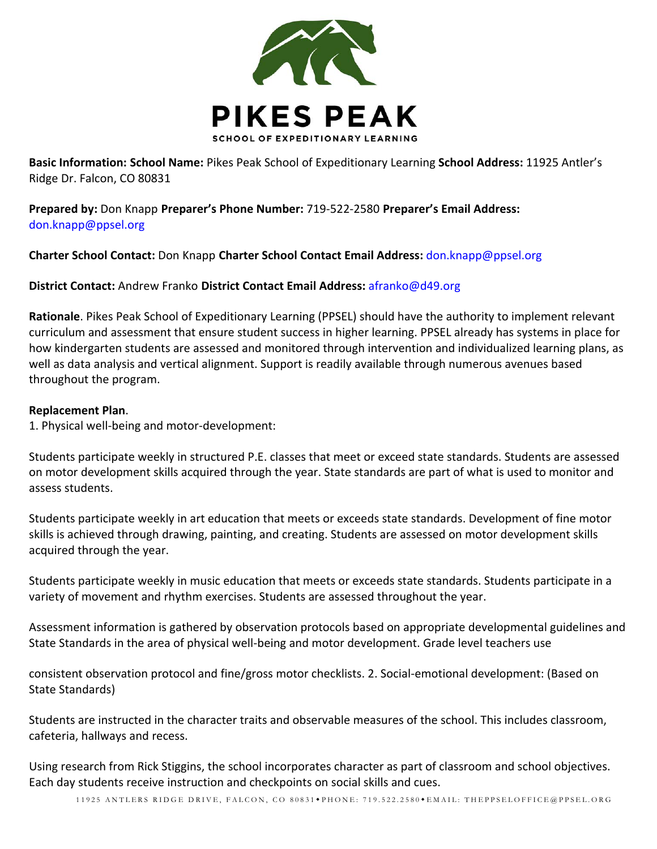

**Basic Information: School Name:** Pikes Peak School of Expeditionary Learning **School Address:** 11925 Antler's Ridge Dr. Falcon, CO 80831

**Prepared by:** Don Knapp **Preparer's Phone Number:** 719‐522‐2580 **Preparer's Email Address:** don.knapp@ppsel.org

**Charter School Contact:** Don Knapp **Charter School Contact Email Address:** don.knapp@ppsel.org

#### **District Contact:** Andrew Franko **District Contact Email Address:** afranko@d49.org

**Rationale**. Pikes Peak School of Expeditionary Learning (PPSEL) should have the authority to implement relevant curriculum and assessment that ensure student success in higher learning. PPSEL already has systems in place for how kindergarten students are assessed and monitored through intervention and individualized learning plans, as well as data analysis and vertical alignment. Support is readily available through numerous avenues based throughout the program.

#### **Replacement Plan**.

1. Physical well‐being and motor‐development:

Students participate weekly in structured P.E. classes that meet or exceed state standards. Students are assessed on motor development skills acquired through the year. State standards are part of what is used to monitor and assess students.

Students participate weekly in art education that meets or exceeds state standards. Development of fine motor skills is achieved through drawing, painting, and creating. Students are assessed on motor development skills acquired through the year.

Students participate weekly in music education that meets or exceeds state standards. Students participate in a variety of movement and rhythm exercises. Students are assessed throughout the year.

Assessment information is gathered by observation protocols based on appropriate developmental guidelines and State Standards in the area of physical well‐being and motor development. Grade level teachers use

consistent observation protocol and fine/gross motor checklists. 2. Social‐emotional development: (Based on State Standards)

Students are instructed in the character traits and observable measures of the school. This includes classroom, cafeteria, hallways and recess.

Using research from Rick Stiggins, the school incorporates character as part of classroom and school objectives. Each day students receive instruction and checkpoints on social skills and cues.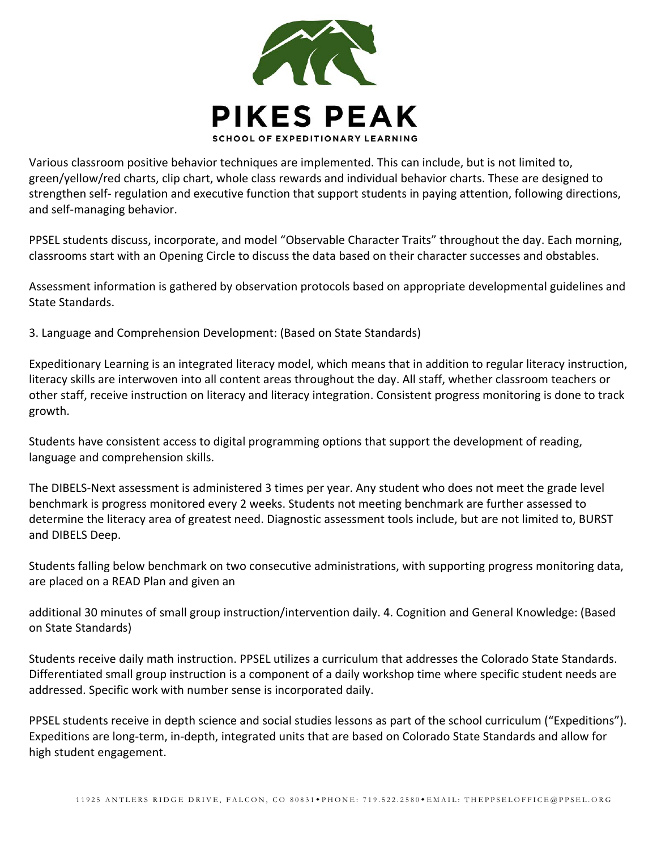

Various classroom positive behavior techniques are implemented. This can include, but is not limited to, green/yellow/red charts, clip chart, whole class rewards and individual behavior charts. These are designed to strengthen self- regulation and executive function that support students in paying attention, following directions, and self‐managing behavior.

PPSEL students discuss, incorporate, and model "Observable Character Traits" throughout the day. Each morning, classrooms start with an Opening Circle to discuss the data based on their character successes and obstables.

Assessment information is gathered by observation protocols based on appropriate developmental guidelines and State Standards.

3. Language and Comprehension Development: (Based on State Standards)

Expeditionary Learning is an integrated literacy model, which means that in addition to regular literacy instruction, literacy skills are interwoven into all content areas throughout the day. All staff, whether classroom teachers or other staff, receive instruction on literacy and literacy integration. Consistent progress monitoring is done to track growth.

Students have consistent access to digital programming options that support the development of reading, language and comprehension skills.

The DIBELS‐Next assessment is administered 3 times per year. Any student who does not meet the grade level benchmark is progress monitored every 2 weeks. Students not meeting benchmark are further assessed to determine the literacy area of greatest need. Diagnostic assessment tools include, but are not limited to, BURST and DIBELS Deep.

Students falling below benchmark on two consecutive administrations, with supporting progress monitoring data, are placed on a READ Plan and given an

additional 30 minutes of small group instruction/intervention daily. 4. Cognition and General Knowledge: (Based on State Standards)

Students receive daily math instruction. PPSEL utilizes a curriculum that addresses the Colorado State Standards. Differentiated small group instruction is a component of a daily workshop time where specific student needs are addressed. Specific work with number sense is incorporated daily.

PPSEL students receive in depth science and social studies lessons as part of the school curriculum ("Expeditions"). Expeditions are long‐term, in‐depth, integrated units that are based on Colorado State Standards and allow for high student engagement.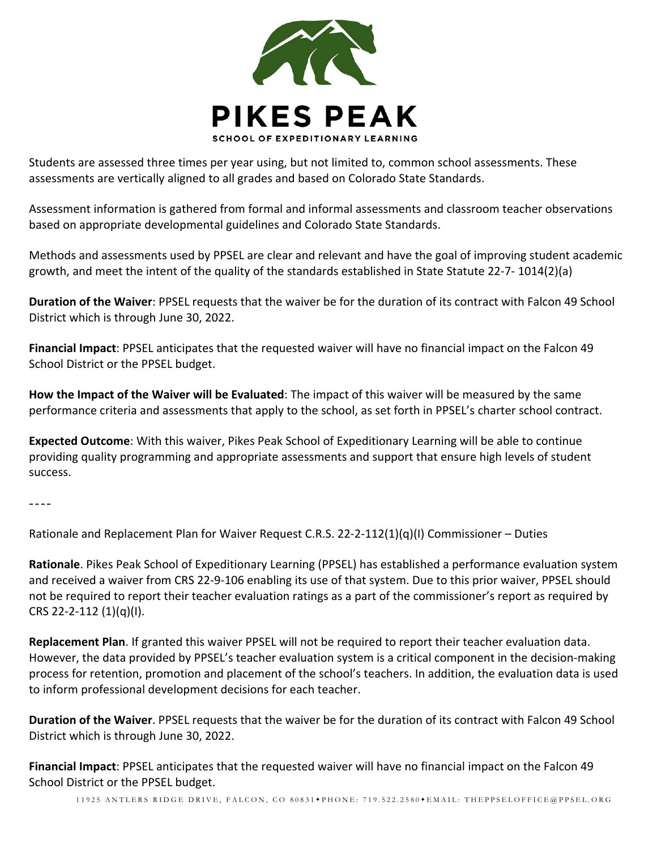

Students are assessed three times per year using, but not limited to, common school assessments. These assessments are vertically aligned to all grades and based on Colorado State Standards.

Assessment information is gathered from formal and informal assessments and classroom teacher observations based on appropriate developmental guidelines and Colorado State Standards.

Methods and assessments used by PPSEL are clear and relevant and have the goal of improving student academic growth, and meet the intent of the quality of the standards established in State Statute 22‐7‐ 1014(2)(a)

**Duration of the Waiver**: PPSEL requests that the waiver be for the duration of its contract with Falcon 49 School District which is through June 30, 2022.

**Financial Impact**: PPSEL anticipates that the requested waiver will have no financial impact on the Falcon 49 School District or the PPSEL budget.

**How the Impact of the Waiver will be Evaluated**: The impact of this waiver will be measured by the same performance criteria and assessments that apply to the school, as set forth in PPSEL's charter school contract.

**Expected Outcome**: With this waiver, Pikes Peak School of Expeditionary Learning will be able to continue providing quality programming and appropriate assessments and support that ensure high levels of student success.

----

Rationale and Replacement Plan for Waiver Request C.R.S. 22‐2‐112(1)(q)(I) Commissioner – Duties

**Rationale**. Pikes Peak School of Expeditionary Learning (PPSEL) has established a performance evaluation system and received a waiver from CRS 22‐9‐106 enabling its use of that system. Due to this prior waiver, PPSEL should not be required to report their teacher evaluation ratings as a part of the commissioner's report as required by CRS 22‐2‐112 (1)(q)(I).

**Replacement Plan**. If granted this waiver PPSEL will not be required to report their teacher evaluation data. However, the data provided by PPSEL's teacher evaluation system is a critical component in the decision‐making process for retention, promotion and placement of the school's teachers. In addition, the evaluation data is used to inform professional development decisions for each teacher.

**Duration of the Waiver**. PPSEL requests that the waiver be for the duration of its contract with Falcon 49 School District which is through June 30, 2022.

**Financial Impact**: PPSEL anticipates that the requested waiver will have no financial impact on the Falcon 49 School District or the PPSEL budget.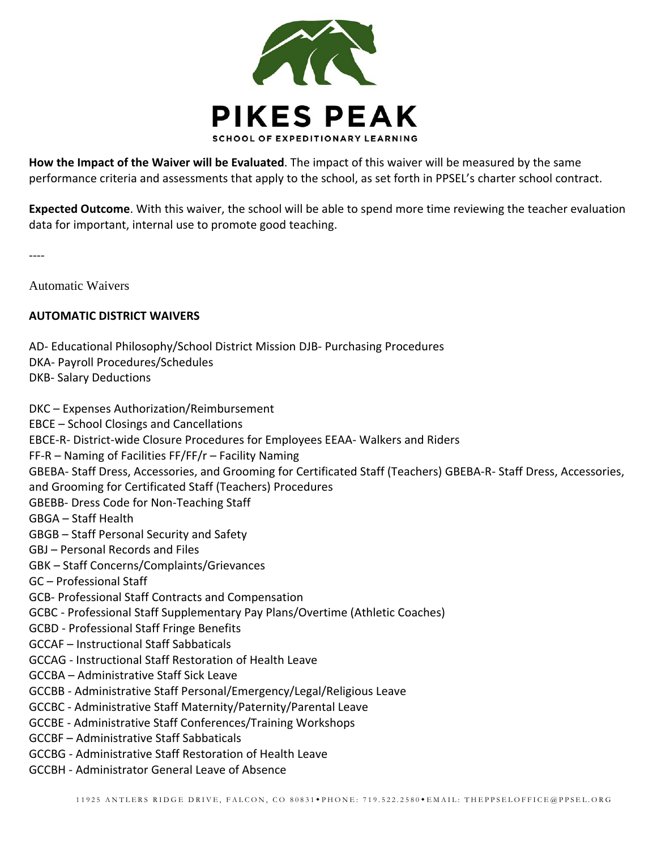

**How the Impact of the Waiver will be Evaluated**. The impact of this waiver will be measured by the same performance criteria and assessments that apply to the school, as set forth in PPSEL's charter school contract.

**Expected Outcome**. With this waiver, the school will be able to spend more time reviewing the teacher evaluation data for important, internal use to promote good teaching.

‐‐‐‐

Automatic Waivers

#### **AUTOMATIC DISTRICT WAIVERS**

- AD‐ Educational Philosophy/School District Mission DJB‐ Purchasing Procedures
- DKA‐ Payroll Procedures/Schedules
- DKB‐ Salary Deductions

DKC – Expenses Authorization/Reimbursement EBCE – School Closings and Cancellations EBCE‐R‐ District‐wide Closure Procedures for Employees EEAA‐ Walkers and Riders FF‐R – Naming of Facilities FF/FF/r – Facility Naming GBEBA‐ Staff Dress, Accessories, and Grooming for Certificated Staff (Teachers) GBEBA‐R‐ Staff Dress, Accessories, and Grooming for Certificated Staff (Teachers) Procedures GBEBB‐ Dress Code for Non‐Teaching Staff GBGA – Staff Health GBGB – Staff Personal Security and Safety GBJ – Personal Records and Files GBK – Staff Concerns/Complaints/Grievances GC – Professional Staff GCB‐ Professional Staff Contracts and Compensation GCBC ‐ Professional Staff Supplementary Pay Plans/Overtime (Athletic Coaches) GCBD ‐ Professional Staff Fringe Benefits GCCAF – Instructional Staff Sabbaticals GCCAG ‐ Instructional Staff Restoration of Health Leave GCCBA – Administrative Staff Sick Leave GCCBB ‐ Administrative Staff Personal/Emergency/Legal/Religious Leave GCCBC ‐ Administrative Staff Maternity/Paternity/Parental Leave GCCBE ‐ Administrative Staff Conferences/Training Workshops GCCBF – Administrative Staff Sabbaticals GCCBG ‐ Administrative Staff Restoration of Health Leave GCCBH ‐ Administrator General Leave of Absence